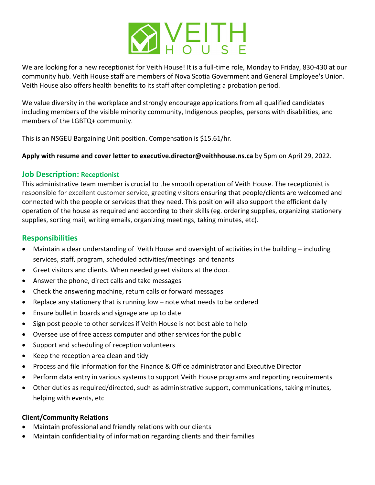

We are looking for a new receptionist for Veith House! It is a full-time role, Monday to Friday, 830-430 at our community hub. Veith House staff are members of Nova Scotia Government and General Employee's Union. Veith House also offers health benefits to its staff after completing a probation period.

We value diversity in the workplace and strongly encourage applications from all qualified candidates including members of the visible minority community, Indigenous peoples, persons with disabilities, and members of the LGBTQ+ community.

This is an NSGEU Bargaining Unit position. Compensation is \$15.61/hr.

#### **Apply with resume and cover letter to executive.director@veithhouse.ns.ca** by 5pm on April 29, 2022.

### **Job Description: Receptionist**

This administrative team member is crucial to the smooth operation of Veith House. The receptionist is responsible for excellent customer service, greeting visitors ensuring that people/clients are welcomed and connected with the people or services that they need. This position will also support the efficient daily operation of the house as required and according to their skills (eg. ordering supplies, organizing stationery supplies, sorting mail, writing emails, organizing meetings, taking minutes, etc).

## **Responsibilities**

- Maintain a clear understanding of Veith House and oversight of activities in the building including services, staff, program, scheduled activities/meetings and tenants
- Greet visitors and clients. When needed greet visitors at the door.
- Answer the phone, direct calls and take messages
- Check the answering machine, return calls or forward messages
- Replace any stationery that is running low note what needs to be ordered
- Ensure bulletin boards and signage are up to date
- Sign post people to other services if Veith House is not best able to help
- Oversee use of free access computer and other services for the public
- Support and scheduling of reception volunteers
- Keep the reception area clean and tidy
- Process and file information for the Finance & Office administrator and Executive Director
- Perform data entry in various systems to support Veith House programs and reporting requirements
- Other duties as required/directed, such as administrative support, communications, taking minutes, helping with events, etc

#### **Client/Community Relations**

- Maintain professional and friendly relations with our clients
- Maintain confidentiality of information regarding clients and their families